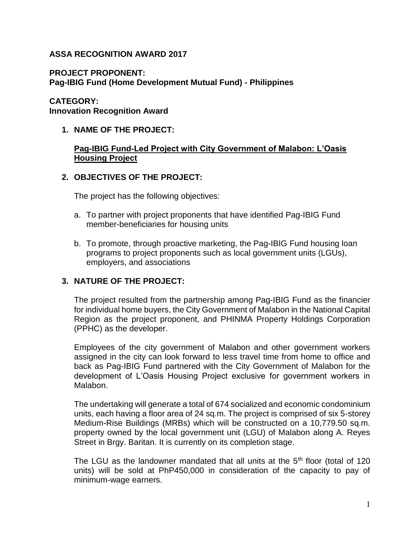#### **ASSA RECOGNITION AWARD 2017**

**PROJECT PROPONENT:**

**Pag-IBIG Fund (Home Development Mutual Fund) - Philippines**

#### **CATEGORY:**

**Innovation Recognition Award**

### **1. NAME OF THE PROJECT:**

#### **Pag-IBIG Fund-Led Project with City Government of Malabon: L'Oasis Housing Project**

#### **2. OBJECTIVES OF THE PROJECT:**

The project has the following objectives:

- a. To partner with project proponents that have identified Pag-IBIG Fund member-beneficiaries for housing units
- b. To promote, through proactive marketing, the Pag-IBIG Fund housing loan programs to project proponents such as local government units (LGUs), employers, and associations

### **3. NATURE OF THE PROJECT:**

The project resulted from the partnership among Pag-IBIG Fund as the financier for individual home buyers, the City Government of Malabon in the National Capital Region as the project proponent, and PHINMA Property Holdings Corporation (PPHC) as the developer.

Employees of the city government of Malabon and other government workers assigned in the city can look forward to less travel time from home to office and back as Pag-IBIG Fund partnered with the City Government of Malabon for the development of L'Oasis Housing Project exclusive for government workers in Malabon.

The undertaking will generate a total of 674 socialized and economic condominium units, each having a floor area of 24 sq.m. The project is comprised of six 5-storey Medium-Rise Buildings (MRBs) which will be constructed on a 10,779.50 sq.m. property owned by the local government unit (LGU) of Malabon along A. Reyes Street in Brgy. Baritan. It is currently on its completion stage.

The LGU as the landowner mandated that all units at the  $5<sup>th</sup>$  floor (total of 120 units) will be sold at PhP450,000 in consideration of the capacity to pay of minimum-wage earners.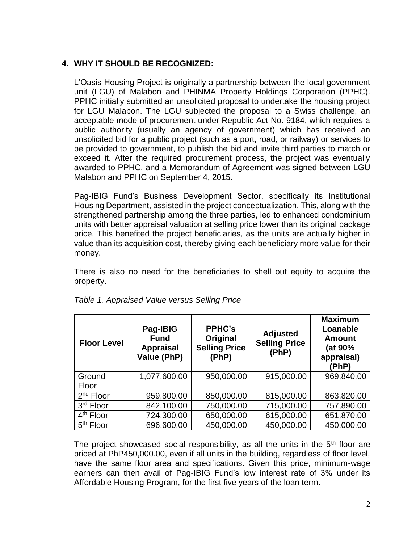# **4. WHY IT SHOULD BE RECOGNIZED:**

L'Oasis Housing Project is originally a partnership between the local government unit (LGU) of Malabon and PHINMA Property Holdings Corporation (PPHC). PPHC initially submitted an unsolicited proposal to undertake the housing project for LGU Malabon. The LGU subjected the proposal to a Swiss challenge, an acceptable mode of procurement under Republic Act No. 9184, which requires a public authority (usually an agency of government) which has received an unsolicited bid for a public project (such as a port, road, or railway) or services to be provided to government, to publish the bid and invite third parties to match or exceed it. After the required procurement process, the project was eventually awarded to PPHC, and a Memorandum of Agreement was signed between LGU Malabon and PPHC on September 4, 2015.

Pag-IBIG Fund's Business Development Sector, specifically its Institutional Housing Department, assisted in the project conceptualization. This, along with the strengthened partnership among the three parties, led to enhanced condominium units with better appraisal valuation at selling price lower than its original package price. This benefited the project beneficiaries, as the units are actually higher in value than its acquisition cost, thereby giving each beneficiary more value for their money.

There is also no need for the beneficiaries to shell out equity to acquire the property.

| <b>Floor Level</b>    | Pag-IBIG<br><b>Fund</b><br><b>Appraisal</b><br>Value (PhP) | <b>PPHC's</b><br>Original<br><b>Selling Price</b><br>(PhP) | <b>Adjusted</b><br><b>Selling Price</b><br>(PhP) | <b>Maximum</b><br>Loanable<br><b>Amount</b><br>(at 90%<br>appraisal)<br>(PhP) |
|-----------------------|------------------------------------------------------------|------------------------------------------------------------|--------------------------------------------------|-------------------------------------------------------------------------------|
| Ground                | 1,077,600.00                                               | 950,000.00                                                 | 915,000.00                                       | 969,840.00                                                                    |
| Floor                 |                                                            |                                                            |                                                  |                                                                               |
| $2nd$ Floor           | 959,800.00                                                 | 850,000.00                                                 | 815,000.00                                       | 863,820.00                                                                    |
| 3rd Floor             | 842,100.00                                                 | 750,000.00                                                 | 715,000.00                                       | 757,890.00                                                                    |
| 4 <sup>th</sup> Floor | 724,300.00                                                 | 650,000.00                                                 | 615,000.00                                       | 651,870.00                                                                    |
| 5 <sup>th</sup> Floor | 696,600.00                                                 | 450,000.00                                                 | 450,000.00                                       | 450.000.00                                                                    |

|  | Table 1. Appraised Value versus Selling Price |
|--|-----------------------------------------------|
|--|-----------------------------------------------|

The project showcased social responsibility, as all the units in the  $5<sup>th</sup>$  floor are priced at PhP450,000.00, even if all units in the building, regardless of floor level, have the same floor area and specifications. Given this price, minimum-wage earners can then avail of Pag-IBIG Fund's low interest rate of 3% under its Affordable Housing Program, for the first five years of the loan term.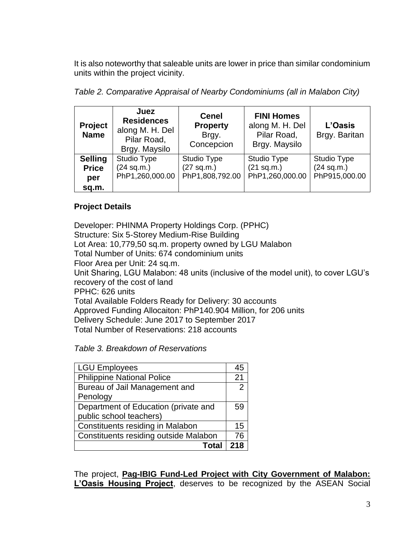It is also noteworthy that saleable units are lower in price than similar condominium units within the project vicinity.

| Project<br><b>Name</b>                | Juez<br><b>Residences</b><br>along M. H. Del<br>Pilar Road,<br>Brgy. Maysilo | <b>Cenel</b><br><b>Property</b><br>Brgy.<br>Concepcion | <b>FINI Homes</b><br>along M. H. Del<br>Pilar Road,<br>Brgy. Maysilo | L'Oasis<br>Brgy. Baritan                   |
|---------------------------------------|------------------------------------------------------------------------------|--------------------------------------------------------|----------------------------------------------------------------------|--------------------------------------------|
| <b>Selling</b><br><b>Price</b><br>per | Studio Type<br>(24 sq.m.)<br>PhP1,260,000.00                                 | Studio Type<br>(27 sq.m.)<br>PhP1,808,792.00           | Studio Type<br>(21 sq.m.)<br>PhP1,260,000.00                         | Studio Type<br>(24 sq.m.)<br>PhP915,000.00 |
| sq.m.                                 |                                                                              |                                                        |                                                                      |                                            |

|  |  |  |  | Table 2. Comparative Appraisal of Nearby Condominiums (all in Malabon City) |  |  |  |
|--|--|--|--|-----------------------------------------------------------------------------|--|--|--|
|--|--|--|--|-----------------------------------------------------------------------------|--|--|--|

# **Project Details**

Developer: PHINMA Property Holdings Corp. (PPHC) Structure: Six 5-Storey Medium-Rise Building Lot Area: 10,779,50 sq.m. property owned by LGU Malabon Total Number of Units: 674 condominium units Floor Area per Unit: 24 sq.m. Unit Sharing, LGU Malabon: 48 units (inclusive of the model unit), to cover LGU's recovery of the cost of land PPHC: 626 units Total Available Folders Ready for Delivery: 30 accounts Approved Funding Allocaiton: PhP140.904 Million, for 206 units Delivery Schedule: June 2017 to September 2017 Total Number of Reservations: 218 accounts

*Table 3. Breakdown of Reservations*

| <b>LGU Employees</b>                         |     |  |
|----------------------------------------------|-----|--|
| <b>Philippine National Police</b>            | 21  |  |
| Bureau of Jail Management and                |     |  |
| Penology                                     |     |  |
| Department of Education (private and         | 59  |  |
| public school teachers)                      |     |  |
| Constituents residing in Malabon             | 15  |  |
| <b>Constituents residing outside Malabon</b> |     |  |
| Total                                        | 218 |  |

The project, **Pag-IBIG Fund-Led Project with City Government of Malabon: L'Oasis Housing Project**, deserves to be recognized by the ASEAN Social